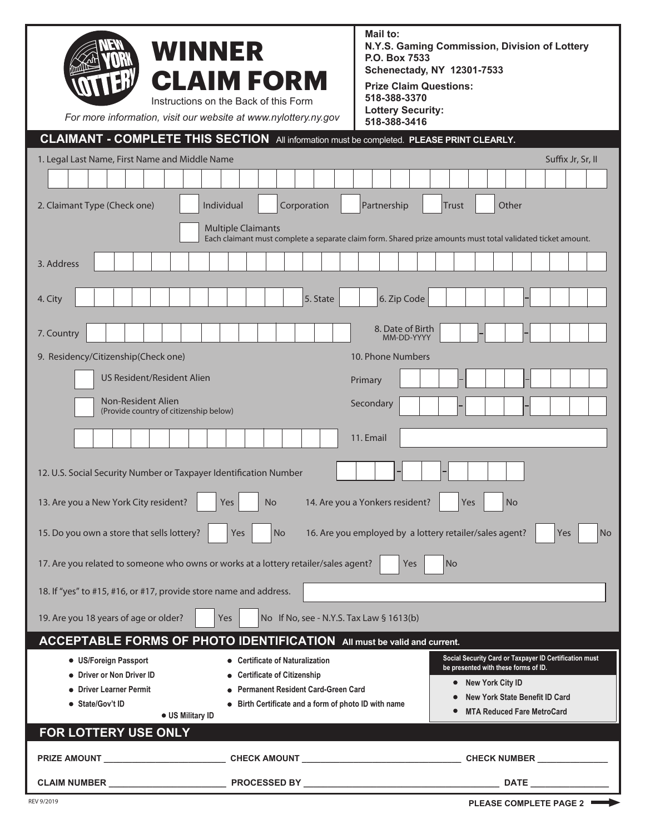| For more information, visit our website at www.nylottery.ny.gov                                                                          | <b>WINNER</b><br><b>CLAIM FORM</b><br>Instructions on the Back of this Form | Mail to:<br>N.Y.S. Gaming Commission, Division of Lottery<br>P.O. Box 7533<br><b>Schenectady, NY 12301-7533</b><br><b>Prize Claim Questions:</b><br>518-388-3370<br><b>Lottery Security:</b><br>518-388-3416 |    |
|------------------------------------------------------------------------------------------------------------------------------------------|-----------------------------------------------------------------------------|--------------------------------------------------------------------------------------------------------------------------------------------------------------------------------------------------------------|----|
| <b>CLAIMANT - COMPLETE THIS SECTION</b> All information must be completed. PLEASE PRINT CLEARLY.                                         |                                                                             |                                                                                                                                                                                                              |    |
| 1. Legal Last Name, First Name and Middle Name                                                                                           |                                                                             | Suffix Jr, Sr, II                                                                                                                                                                                            |    |
|                                                                                                                                          |                                                                             |                                                                                                                                                                                                              |    |
| 2. Claimant Type (Check one)                                                                                                             | Individual<br>Corporation                                                   | Partnership<br>Other<br>Trust                                                                                                                                                                                |    |
| <b>Multiple Claimants</b><br>Each claimant must complete a separate claim form. Shared prize amounts must total validated ticket amount. |                                                                             |                                                                                                                                                                                                              |    |
| 3. Address                                                                                                                               |                                                                             |                                                                                                                                                                                                              |    |
|                                                                                                                                          |                                                                             |                                                                                                                                                                                                              |    |
| 4. City                                                                                                                                  | 5. State                                                                    | 6. Zip Code                                                                                                                                                                                                  |    |
| 7. Country                                                                                                                               |                                                                             | 8. Date of Birth<br>MM-DD-YYYY                                                                                                                                                                               |    |
| 9. Residency/Citizenship(Check one)                                                                                                      |                                                                             | 10. Phone Numbers                                                                                                                                                                                            |    |
| US Resident/Resident Alien                                                                                                               |                                                                             |                                                                                                                                                                                                              |    |
|                                                                                                                                          |                                                                             | Primary                                                                                                                                                                                                      |    |
| Non-Resident Alien<br>(Provide country of citizenship below)                                                                             |                                                                             | Secondary                                                                                                                                                                                                    |    |
|                                                                                                                                          |                                                                             | 11. Email                                                                                                                                                                                                    |    |
|                                                                                                                                          |                                                                             |                                                                                                                                                                                                              |    |
| 12. U.S. Social Security Number or Taxpayer Identification Number                                                                        |                                                                             |                                                                                                                                                                                                              |    |
| Yes<br>13. Are you a New York City resident?<br>Yes<br>No<br>14. Are you a Yonkers resident?<br><b>No</b>                                |                                                                             |                                                                                                                                                                                                              |    |
| 15. Do you own a store that sells lottery?                                                                                               | Yes<br>No                                                                   | 16. Are you employed by a lottery retailer/sales agent?<br>Yes                                                                                                                                               | No |
| 17. Are you related to someone who owns or works at a lottery retailer/sales agent?                                                      |                                                                             | <b>Yes</b><br> No                                                                                                                                                                                            |    |
| 18. If "yes" to #15, #16, or #17, provide store name and address.                                                                        |                                                                             |                                                                                                                                                                                                              |    |
| 19. Are you 18 years of age or older?                                                                                                    | No If No, see - N.Y.S. Tax Law § 1613(b)<br>Yes                             |                                                                                                                                                                                                              |    |
| ACCEPTABLE FORMS OF PHOTO IDENTIFICATION All must be valid and current.                                                                  |                                                                             |                                                                                                                                                                                                              |    |
| • US/Foreign Passport                                                                                                                    | <b>Certificate of Naturalization</b>                                        | Social Security Card or Taxpayer ID Certification must<br>be presented with these forms of ID.                                                                                                               |    |
| • Driver or Non Driver ID                                                                                                                | <b>Certificate of Citizenship</b>                                           | <b>New York City ID</b>                                                                                                                                                                                      |    |
| • Driver Learner Permit<br>● State/Gov't ID                                                                                              | <b>Permanent Resident Card-Green Card</b>                                   | <b>New York State Benefit ID Card</b>                                                                                                                                                                        |    |
| • US Military ID                                                                                                                         | • Birth Certificate and a form of photo ID with name                        | <b>MTA Reduced Fare MetroCard</b>                                                                                                                                                                            |    |
| FOR LOTTERY USE ONLY                                                                                                                     |                                                                             |                                                                                                                                                                                                              |    |
| <b>PRIZE AMOUNT</b>                                                                                                                      | <b>CHECK AMOUNT</b>                                                         | <b>CHECK NUMBER</b>                                                                                                                                                                                          |    |
| <b>CLAIM NUMBER</b>                                                                                                                      | PROCESSED BY                                                                | <b>DATE</b>                                                                                                                                                                                                  |    |